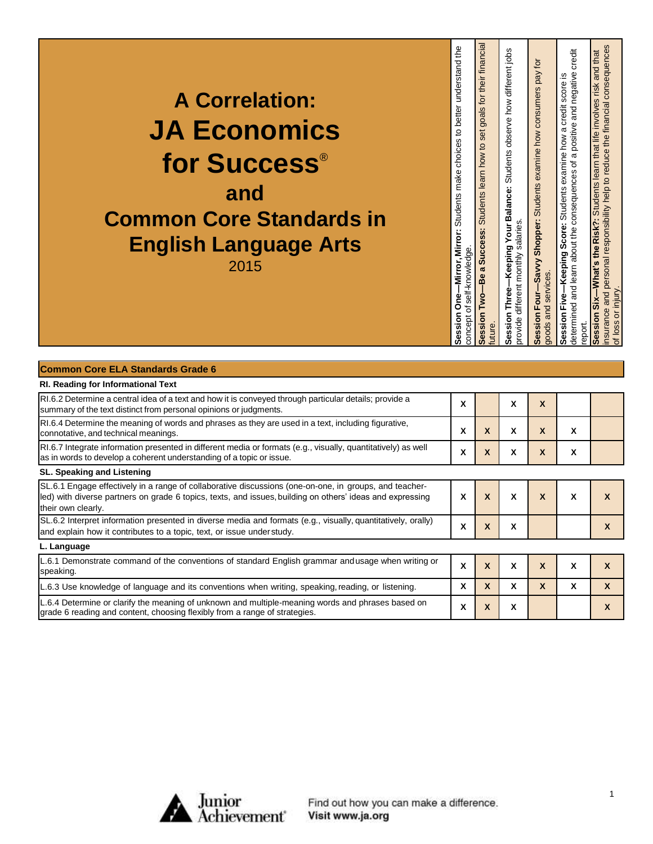| <b>A Correlation:</b><br><b>JA Economics</b><br>for Success®<br>and<br><b>Common Core Standards in</b><br><b>English Language Arts</b><br>2015 | -Mirror, Mirror: Students make choices to better understand the<br>of self-knowledge.<br>Session One-<br>concept | their financial<br>tor<br>goals<br>set<br>learn how to<br><b>Students</b><br>Success:<br>$\sigma$<br>-Be<br>خ<br>T<br>ession<br>uture | Keeping Your Balance: Students observe how different jobs<br>provide different monthly salaries<br>Session Three- | Savvy Shopper: Students examine how consumers pay for<br>goods and services<br>ession Four- | nsurance and personal responsibility help to reduce the financial consequences<br>credit<br>Students learn that life involves risk and that<br>determined and learn about the consequences of a positive and negative<br>score is<br>a credit<br>examine how<br><b>Students</b><br>-What's the Risk?:<br>Score:<br>-Keeping<br>Session Five<br>Session Six<br>report |
|------------------------------------------------------------------------------------------------------------------------------------------------|------------------------------------------------------------------------------------------------------------------|---------------------------------------------------------------------------------------------------------------------------------------|-------------------------------------------------------------------------------------------------------------------|---------------------------------------------------------------------------------------------|----------------------------------------------------------------------------------------------------------------------------------------------------------------------------------------------------------------------------------------------------------------------------------------------------------------------------------------------------------------------|
|------------------------------------------------------------------------------------------------------------------------------------------------|------------------------------------------------------------------------------------------------------------------|---------------------------------------------------------------------------------------------------------------------------------------|-------------------------------------------------------------------------------------------------------------------|---------------------------------------------------------------------------------------------|----------------------------------------------------------------------------------------------------------------------------------------------------------------------------------------------------------------------------------------------------------------------------------------------------------------------------------------------------------------------|

| <b>Common Core ELA Standards Grade 6</b> |  |
|------------------------------------------|--|
|------------------------------------------|--|

| RI. Reading for Informational Text                                                                                                                                                                                                        |   |              |   |   |   |   |
|-------------------------------------------------------------------------------------------------------------------------------------------------------------------------------------------------------------------------------------------|---|--------------|---|---|---|---|
| RI.6.2 Determine a central idea of a text and how it is conveyed through particular details; provide a<br>summary of the text distinct from personal opinions or judgments.                                                               | X |              | X | X |   |   |
| RI.6.4 Determine the meaning of words and phrases as they are used in a text, including figurative,<br>connotative, and technical meanings.                                                                                               | X | X            | X | X | X |   |
| RI.6.7 Integrate information presented in different media or formats (e.g., visually, quantitatively) as well<br>as in words to develop a coherent understanding of a topic or issue.                                                     | X | X            | X | X | x |   |
| SL. Speaking and Listening                                                                                                                                                                                                                |   |              |   |   |   |   |
| SL.6.1 Engage effectively in a range of collaborative discussions (one-on-one, in groups, and teacher-<br>led) with diverse partners on grade 6 topics, texts, and issues, building on others' ideas and expressing<br>their own clearly. | X | X            | X | X | X | X |
| SL.6.2 Interpret information presented in diverse media and formats (e.g., visually, quantitatively, orally)<br>and explain how it contributes to a topic, text, or issue under study.                                                    | X | X            | X |   |   | X |
| L. Language                                                                                                                                                                                                                               |   |              |   |   |   |   |
| L.6.1 Demonstrate command of the conventions of standard English grammar and usage when writing or<br>speaking.                                                                                                                           | X | X            | X | X | X | X |
| L.6.3 Use knowledge of language and its conventions when writing, speaking, reading, or listening.                                                                                                                                        | x | $\mathbf{x}$ | X | X | x | X |
| L.6.4 Determine or clarify the meaning of unknown and multiple-meaning words and phrases based on<br>grade 6 reading and content, choosing flexibly from a range of strategies.                                                           | X | X            | X |   |   | X |



Find out how you can make a difference.<br>Visit www.ja.org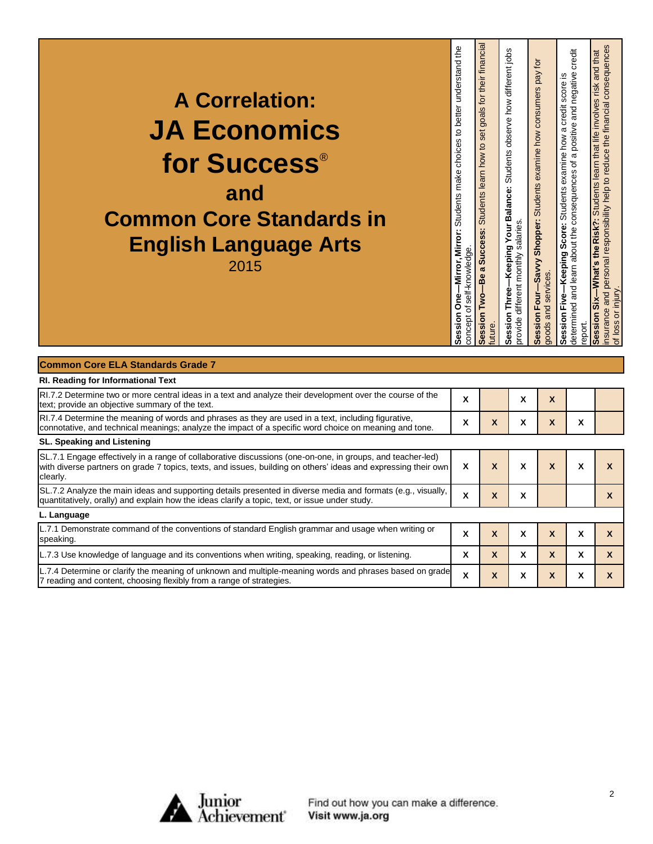| <b>A Correlation:</b><br><b>JA Economics</b><br>for Success®<br>and<br><b>Common Core Standards in</b><br><b>English Language Arts</b><br>2015 | -Mirror, Mirror: Students make choices to better understand the<br>self-knowledge<br>sion One<br>đ<br>concept<br>နိမ် | for their financia<br>goals<br>set<br>learn how to<br><b>Students</b><br>S<br>Ŵ,<br><b>Succe</b><br>$\boldsymbol{\sigma}$<br><u>Μ</u><br>Session<br>uture | -Keeping Your Balance: Students observe how different jobs<br>provide different monthly salaries<br>Session Three- | Savvy Shopper: Students examine how consumers pay for<br>goods and services<br>Session Four- | credit<br>a positive and negative<br>examine how a credit score is<br>determined and learn about the consequences of<br><b>Students</b><br>-Keeping Score:<br>Session Five<br>report | $\omega$<br>nsurance and personal responsibility help to reduce the financial consequence<br>Six-What's the Risk?: Students learn that life involves risk and that<br>of loss or injury<br><b>Session</b> |
|------------------------------------------------------------------------------------------------------------------------------------------------|-----------------------------------------------------------------------------------------------------------------------|-----------------------------------------------------------------------------------------------------------------------------------------------------------|--------------------------------------------------------------------------------------------------------------------|----------------------------------------------------------------------------------------------|--------------------------------------------------------------------------------------------------------------------------------------------------------------------------------------|-----------------------------------------------------------------------------------------------------------------------------------------------------------------------------------------------------------|
| <b>Common Core ELA Standards Grade 7</b><br><b>DI</b> Reading for Informational Toyt                                                           |                                                                                                                       |                                                                                                                                                           |                                                                                                                    |                                                                                              |                                                                                                                                                                                      |                                                                                                                                                                                                           |

| RI. Reading for informational Text                                                                                                                                                                                                       |   |   |   |   |   |   |
|------------------------------------------------------------------------------------------------------------------------------------------------------------------------------------------------------------------------------------------|---|---|---|---|---|---|
| RI.7.2 Determine two or more central ideas in a text and analyze their development over the course of the<br>text; provide an objective summary of the text.                                                                             | X |   | x | X |   |   |
| RI.7.4 Determine the meaning of words and phrases as they are used in a text, including figurative,<br>connotative, and technical meanings; analyze the impact of a specific word choice on meaning and tone.                            | X | X | x | X | A |   |
| SL. Speaking and Listening                                                                                                                                                                                                               |   |   |   |   |   |   |
| SL.7.1 Engage effectively in a range of collaborative discussions (one-on-one, in groups, and teacher-led)<br>with diverse partners on grade 7 topics, texts, and issues, building on others' ideas and expressing their own<br>clearly. | X | X | x | X | x | X |
| SL.7.2 Analyze the main ideas and supporting details presented in diverse media and formats (e.g., visually,<br>quantitatively, orally) and explain how the ideas clarify a topic, text, or issue under study.                           | X | X | X |   |   | X |
| L. Language                                                                                                                                                                                                                              |   |   |   |   |   |   |
| L.7.1 Demonstrate command of the conventions of standard English grammar and usage when writing or<br>speaking.                                                                                                                          | X | X | x | X | x | X |
| L.7.3 Use knowledge of language and its conventions when writing, speaking, reading, or listening.                                                                                                                                       | X | X | x | X | x | X |
| L.7.4 Determine or clarify the meaning of unknown and multiple-meaning words and phrases based on grade<br>7 reading and content, choosing flexibly from a range of strategies.                                                          | X | X | x | X | x |   |

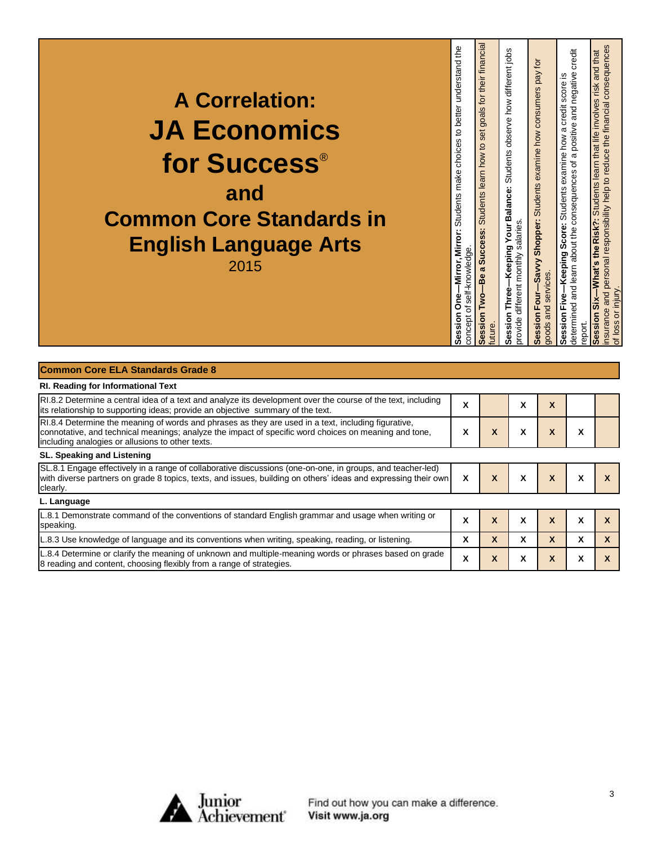|--|

| <b>RI. Reading for Informational Text</b>                                                                                                                                                                                                                        |        |              |   |              |   |  |
|------------------------------------------------------------------------------------------------------------------------------------------------------------------------------------------------------------------------------------------------------------------|--------|--------------|---|--------------|---|--|
| RI.8.2 Determine a central idea of a text and analyze its development over the course of the text, including<br>lits relationship to supporting ideas; provide an objective summary of the text.                                                                 | A      |              | χ | X            |   |  |
| RI.8.4 Determine the meaning of words and phrases as they are used in a text, including figurative,<br>connotative, and technical meanings; analyze the impact of specific word choices on meaning and tone,<br>including analogies or allusions to other texts. | A      | X            | X | X            |   |  |
| SL. Speaking and Listening                                                                                                                                                                                                                                       |        |              |   |              |   |  |
| SL.8.1 Engage effectively in a range of collaborative discussions (one-on-one, in groups, and teacher-led)<br>with diverse partners on grade 8 topics, texts, and issues, building on others' ideas and expressing their own<br>clearly.                         | X      | X            | X | $\mathbf{x}$ | x |  |
| L. Language                                                                                                                                                                                                                                                      |        |              |   |              |   |  |
| L.8.1 Demonstrate command of the conventions of standard English grammar and usage when writing or<br>speaking.                                                                                                                                                  | v<br>^ | X            | X | X            | x |  |
| L.8.3 Use knowledge of language and its conventions when writing, speaking, reading, or listening.                                                                                                                                                               | x      | $\mathbf{x}$ | x | X            | x |  |
| L.8.4 Determine or clarify the meaning of unknown and multiple-meaning words or phrases based on grade<br>8 reading and content, choosing flexibly from a range of strategies.                                                                                   | X      | X            | X | X            | x |  |